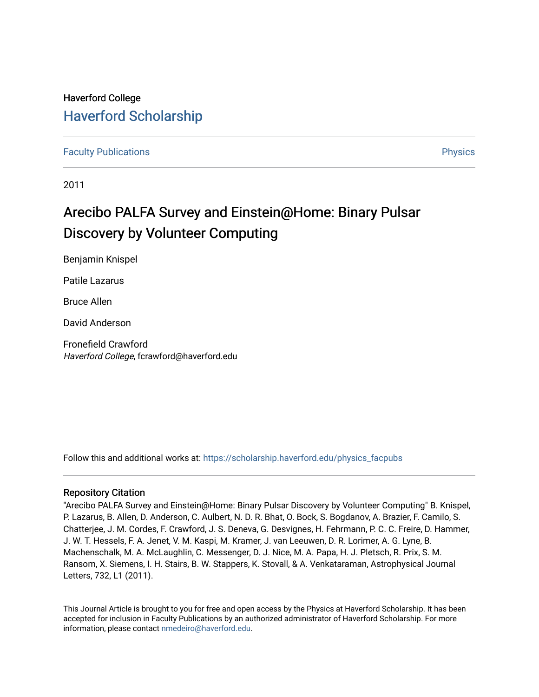# Haverford College [Haverford Scholarship](https://scholarship.haverford.edu/)

# [Faculty Publications](https://scholarship.haverford.edu/physics_facpubs) **Physics**

2011

# Arecibo PALFA Survey and Einstein@Home: Binary Pulsar Discovery by Volunteer Computing

Benjamin Knispel

Patile Lazarus

Bruce Allen

David Anderson

Fronefield Crawford Haverford College, fcrawford@haverford.edu

Follow this and additional works at: [https://scholarship.haverford.edu/physics\\_facpubs](https://scholarship.haverford.edu/physics_facpubs?utm_source=scholarship.haverford.edu%2Fphysics_facpubs%2F374&utm_medium=PDF&utm_campaign=PDFCoverPages) 

# Repository Citation

"Arecibo PALFA Survey and Einstein@Home: Binary Pulsar Discovery by Volunteer Computing" B. Knispel, P. Lazarus, B. Allen, D. Anderson, C. Aulbert, N. D. R. Bhat, O. Bock, S. Bogdanov, A. Brazier, F. Camilo, S. Chatterjee, J. M. Cordes, F. Crawford, J. S. Deneva, G. Desvignes, H. Fehrmann, P. C. C. Freire, D. Hammer, J. W. T. Hessels, F. A. Jenet, V. M. Kaspi, M. Kramer, J. van Leeuwen, D. R. Lorimer, A. G. Lyne, B. Machenschalk, M. A. McLaughlin, C. Messenger, D. J. Nice, M. A. Papa, H. J. Pletsch, R. Prix, S. M. Ransom, X. Siemens, I. H. Stairs, B. W. Stappers, K. Stovall, & A. Venkataraman, Astrophysical Journal Letters, 732, L1 (2011).

This Journal Article is brought to you for free and open access by the Physics at Haverford Scholarship. It has been accepted for inclusion in Faculty Publications by an authorized administrator of Haverford Scholarship. For more information, please contact [nmedeiro@haverford.edu.](mailto:nmedeiro@haverford.edu)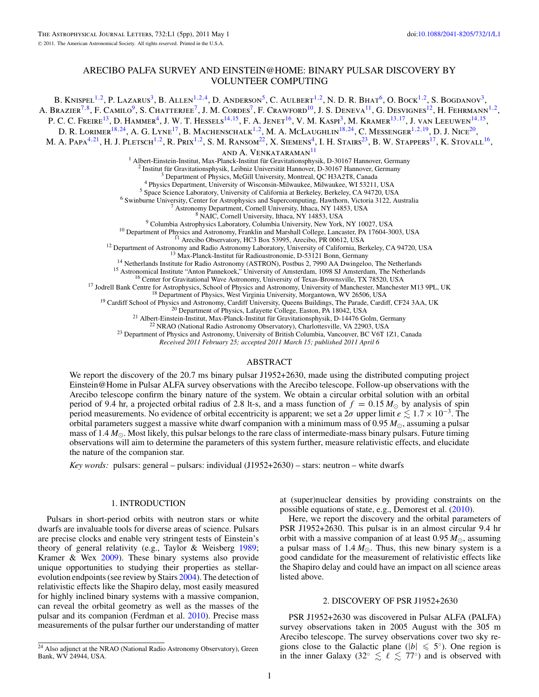# ARECIBO PALFA SURVEY AND EINSTEIN@HOME: BINARY PULSAR DISCOVERY BY VOLUNTEER COMPUTING

B. KNISPEL<sup>1,2</sup>, P. LAZARUS<sup>3</sup>, B. ALLEN<sup>1,2,4</sup>, D. ANDERSON<sup>5</sup>, C. AULBERT<sup>1,2</sup>, N. D. R. BHAT<sup>6</sup>, O. BOCK<sup>1,2</sup>, S. BOGDANOV<sup>3</sup>, A. Brazier<sup>7,8</sup>, F. Camilo<sup>9</sup>, S. Chatterjee<sup>7</sup>, J. M. Cordes<sup>7</sup>, F. Crawford<sup>10</sup>, J. S. Deneva<sup>11</sup>, G. Desvignes<sup>12</sup>, H. Fehrmann<sup>1,2</sup>, P. C. C. FREIRE<sup>13</sup>, D. HAMMER<sup>4</sup>, J. W. T. HESSELS<sup>14,15</sup>, F. A. JENET<sup>16</sup>, V. M. KASPI<sup>3</sup>, M. KRAMER<sup>13,17</sup>, J. VAN LEEUWEN<sup>14,15</sup>, D. R. LORIMER<sup>18,24</sup>, A. G. LYNE<sup>17</sup>, B. MACHENSCHALK<sup>1,2</sup>, M. A. MCLAUGHLIN<sup>18,24</sup>, C. MESSENGER<sup>1,2,19</sup>, D. J. Nice<sup>20</sup>, M. A. Papa<sup>4,21</sup>, H. J. Pletsch<sup>1,2</sup>, R. Prix<sup>1,2</sup>, S. M. Ransom<sup>22</sup>, X. Siemens<sup>4</sup>, I. H. Stairs<sup>23</sup>, B. W. Stappers<sup>17</sup>, K. Stovall<sup>16</sup>, and A. VENKATARAMAN<sup>11</sup> <sup>1</sup> Abter-Einstein-Institut, Max-Planck-Institut für Gravitationsphysik, D-30167 Hannover, Germany<br>
<sup>2</sup> Institut für Gravitationsphysik, Leibniz Universität Hannover, D-30167 Hannover, Germany<br>
<sup>2</sup> Institut in Gravitation

*Received 2011 February 25; accepted 2011 March 15; published 2011 April 6*

# ABSTRACT

We report the discovery of the 20.7 ms binary pulsar J1952+2630, made using the distributed computing project Einstein@Home in Pulsar ALFA survey observations with the Arecibo telescope. Follow-up observations with the Arecibo telescope confirm the binary nature of the system. We obtain a circular orbital solution with an orbital period of 9.4 hr, a projected orbital radius of 2.8 lt-s, and a mass function of  $f = 0.15 M_{\odot}$  by analysis of spin period measurements. No evidence of orbital eccentricity is apparent; we set a  $2\sigma$  upper limit  $e \leq 1.7 \times 10^{-3}$ . The orbital parameters suggest a massive white dwarf companion with a minimum mass of  $0.95 M_{\odot}$ , assuming a pulsar mass of  $1.4 M_{\odot}$ . Most likely, this pulsar belongs to the rare class of intermediate-mass binary pulsars. Future timing observations will aim to determine the parameters of this system further, measure relativistic effects, and elucidate the nature of the companion star.

*Key words:* pulsars: general – pulsars: individual (J1952+2630) – stars: neutron – white dwarfs

# 1. INTRODUCTION

Pulsars in short-period orbits with neutron stars or white dwarfs are invaluable tools for diverse areas of science. Pulsars are precise clocks and enable very stringent tests of Einstein's theory of general relativity (e.g., Taylor & Weisberg [1989;](#page-5-0) Kramer & Wex [2009\)](#page-5-0). These binary systems also provide unique opportunities to studying their properties as stellarevolution endpoints (see review by Stairs [2004\)](#page-5-0). The detection of relativistic effects like the Shapiro delay, most easily measured for highly inclined binary systems with a massive companion, can reveal the orbital geometry as well as the masses of the pulsar and its companion (Ferdman et al. [2010\)](#page-5-0). Precise mass measurements of the pulsar further our understanding of matter

at (super)nuclear densities by providing constraints on the possible equations of state, e.g., Demorest et al. [\(2010\)](#page-5-0).

Here, we report the discovery and the orbital parameters of PSR J1952+2630. This pulsar is in an almost circular 9.4 hr orbit with a massive companion of at least  $0.95 M_{\odot}$ , assuming a pulsar mass of  $1.4 M_{\odot}$ . Thus, this new binary system is a good candidate for the measurement of relativistic effects like the Shapiro delay and could have an impact on all science areas listed above.

#### 2. DISCOVERY OF PSR J1952+2630

PSR J1952+2630 was discovered in Pulsar ALFA (PALFA) survey observations taken in 2005 August with the 305 m Arecibo telescope. The survey observations cover two sky regions close to the Galactic plane ( $|b| \leq 5^\circ$ ). One region is in the inner Galaxy (32°  $\lesssim \ell \lesssim 77°$ ) and is observed with

<sup>&</sup>lt;sup>24</sup> Also adjunct at the NRAO (National Radio Astronomy Observatory), Green Bank, WV 24944, USA.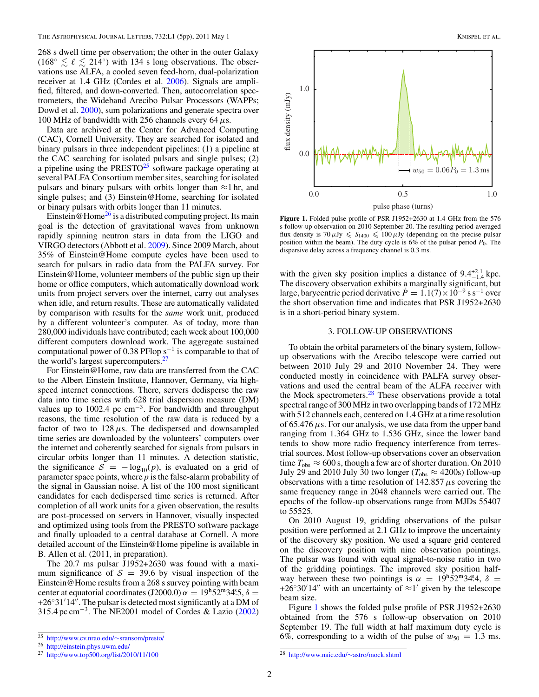268 s dwell time per observation; the other in the outer Galaxy  $(168° \lesssim \ell \lesssim 214°)$  with 134 s long observations. The observations use ALFA, a cooled seven feed-horn, dual-polarization receiver at 1.4 GHz (Cordes et al. [2006\)](#page-5-0). Signals are amplified, filtered, and down-converted. Then, autocorrelation spectrometers, the Wideband Arecibo Pulsar Processors (WAPPs; Dowd et al. [2000\)](#page-5-0), sum polarizations and generate spectra over 100 MHz of bandwidth with 256 channels every 64*μ*s.

Data are archived at the Center for Advanced Computing (CAC), Cornell University. They are searched for isolated and binary pulsars in three independent pipelines: (1) a pipeline at the CAC searching for isolated pulsars and single pulses; (2) a pipeline using the PRESTO $25$  software package operating at several PALFA Consortium member sites, searching for isolated pulsars and binary pulsars with orbits longer than  $\approx$ 1 hr, and single pulses; and (3) Einstein@Home, searching for isolated or binary pulsars with orbits longer than 11 minutes.

Einstein @Home<sup>26</sup> is a distributed computing project. Its main goal is the detection of gravitational waves from unknown rapidly spinning neutron stars in data from the LIGO and VIRGO detectors (Abbott et al. [2009\)](#page-5-0). Since 2009 March, about 35% of Einstein@Home compute cycles have been used to search for pulsars in radio data from the PALFA survey. For Einstein@Home, volunteer members of the public sign up their home or office computers, which automatically download work units from project servers over the internet, carry out analyses when idle, and return results. These are automatically validated by comparison with results for the *same* work unit, produced by a different volunteer's computer. As of today, more than 280,000 individuals have contributed; each week about 100,000 different computers download work. The aggregate sustained computational power of 0.38 PFlop  $s^{-1}$  is comparable to that of the world's largest supercomputers.<sup>27</sup>

For Einstein@Home, raw data are transferred from the CAC to the Albert Einstein Institute, Hannover, Germany, via highspeed internet connections. There, servers dedisperse the raw data into time series with 628 trial dispersion measure (DM) values up to 1002.4 pc  $cm^{-3}$ . For bandwidth and throughput reasons, the time resolution of the raw data is reduced by a factor of two to  $128 \mu s$ . The dedispersed and downsampled time series are downloaded by the volunteers' computers over the internet and coherently searched for signals from pulsars in circular orbits longer than 11 minutes. A detection statistic, the significance  $S = -\log_{10}(p)$ , is evaluated on a grid of parameter space points, where *p* is the false-alarm probability of the signal in Gaussian noise. A list of the 100 most significant candidates for each dedispersed time series is returned. After completion of all work units for a given observation, the results are post-processed on servers in Hannover, visually inspected and optimized using tools from the PRESTO software package and finally uploaded to a central database at Cornell. A more detailed account of the Einstein@Home pipeline is available in B. Allen et al. (2011, in preparation).

The 20.7 ms pulsar J1952+2630 was found with a maximum significance of  $S = 39.6$  by visual inspection of the Einstein@Home results from a 268 s survey pointing with beam center at equatorial coordinates  $(\text{J2000.0}) \alpha = 19^\text{h}52^\text{m}34^\text{s}5$ ,  $\delta =$  $+26°31'14''.$  The pulsar is detected most significantly at a DM of 315*.*4 pc cm−3. The NE2001 model of Cordes & Lazio [\(2002\)](#page-5-0)



**Figure 1.** Folded pulse profile of PSR J1952+2630 at 1.4 GHz from the 576 s follow-up observation on 2010 September 20. The resulting period-averaged flux density is  $70 \mu Jy \leqslant S_{1400} \leqslant 100 \mu Jy$  (depending on the precise pulsar position within the beam). The duty cycle is  $6\%$  of the pulsar period  $P_0$ . The dispersive delay across a frequency channel is 0.3 ms.

with the given sky position implies a distance of  $9.4^{+2.1}_{-1.4}$  kpc. The discovery observation exhibits a marginally significant, but large, barycentric period derivative  $\dot{P} = 1.1(7) \times 10^{-9}$  s s<sup>-1</sup> over the short observation time and indicates that PSR J1952+2630 is in a short-period binary system.

# 3. FOLLOW-UP OBSERVATIONS

To obtain the orbital parameters of the binary system, followup observations with the Arecibo telescope were carried out between 2010 July 29 and 2010 November 24. They were conducted mostly in coincidence with PALFA survey observations and used the central beam of the ALFA receiver with the Mock spectrometers.<sup>28</sup> These observations provide a total spectral range of 300 MHz in two overlapping bands of 172 MHz with 512 channels each, centered on 1.4 GHz at a time resolution of 65.476*μ*s. For our analysis, we use data from the upper band ranging from 1.364 GHz to 1.536 GHz, since the lower band tends to show more radio frequency interference from terrestrial sources. Most follow-up observations cover an observation time  $T_{obs} \approx 600$  s, though a few are of shorter duration. On 2010 July 29 and 2010 July 30 two longer ( $T_{obs} \approx 4200$ s) follow-up observations with a time resolution of 142.857*μ*s covering the same frequency range in 2048 channels were carried out. The epochs of the follow-up observations range from MJDs 55407 to 55525.

On 2010 August 19, gridding observations of the pulsar position were performed at 2.1 GHz to improve the uncertainty of the discovery sky position. We used a square grid centered on the discovery position with nine observation pointings. The pulsar was found with equal signal-to-noise ratio in two of the gridding pointings. The improved sky position halfway between these two pointings is  $\alpha = 19h\overline{5}2m34.$ <sup>8</sup>,  $\delta =$ +26°30′14″ with an uncertainty of  $\approx 1'$  given by the telescope beam size.

Figure 1 shows the folded pulse profile of PSR J1952+2630 obtained from the 576 s follow-up observation on 2010 September 19. The full width at half maximum duty cycle is 6%, corresponding to a width of the pulse of  $w_{50} = 1.3$  ms.

<sup>25</sup> [http://www.cv.nrao.edu/](http://www.cv.nrao.edu/~sransom/presto/)∼sransom/presto/ <sup>26</sup> <http://einstein.phys.uwm.edu/>

<sup>27</sup> <http://www.top500.org/list/2010/11/100>

<sup>28</sup> [http://www.naic.edu/](http://www.naic.edu/~astro/mock.shtml)∼astro/mock.shtml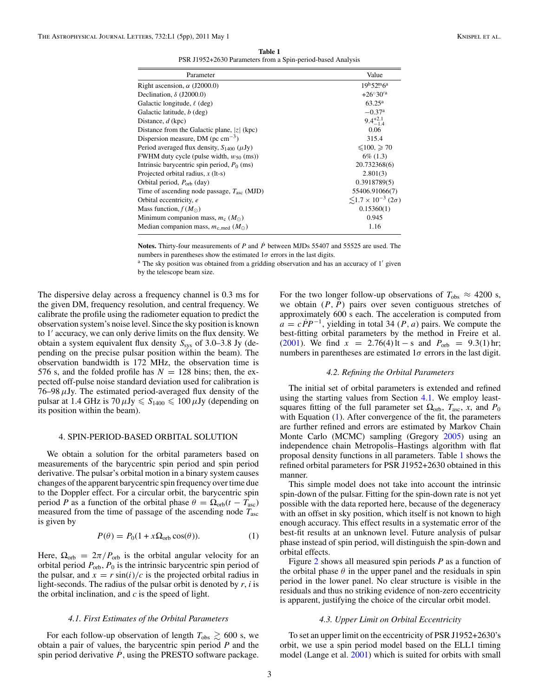**Table 1** PSR J1952+2630 Parameters from a Spin-period-based Analysis

<span id="page-3-0"></span>

| Parameter                                              | Value                                       |
|--------------------------------------------------------|---------------------------------------------|
| Right ascension, $\alpha$ (J2000.0)                    | 19h52m6a                                    |
| Declination, $\delta$ (J2000.0)                        | $+26^{\circ}30'^{a}$                        |
| Galactic longitude, $\ell$ (deg)                       | $63.25^{\rm a}$                             |
| Galactic latitude, <i>b</i> (deg)                      | $-0.37$ <sup>a</sup>                        |
| Distance, d (kpc)                                      | $9.4^{+2.1}_{-1.4}$                         |
| Distance from the Galactic plane, $ z $ (kpc)          | 0.06                                        |
| Dispersion measure, DM (pc $cm^{-3}$ )                 | 315.4                                       |
| Period averaged flux density, $S_{1400}$ ( $\mu$ Jy)   | $\leq 100$ , $\geq 70$                      |
| FWHM duty cycle (pulse width, $w_{50}$ (ms))           | $6\%$ (1.3)                                 |
| Intrinsic barycentric spin period, $P_0$ (ms)          | 20.732368(6)                                |
| Projected orbital radius, $x$ (It-s)                   | 2.801(3)                                    |
| Orbital period, $P_{\text{orb}}$ (day)                 | 0.3918789(5)                                |
| Time of ascending node passage, $T_{\text{asc}}$ (MJD) | 55406.91066(7)                              |
| Orbital eccentricity, e                                | $\leq$ 1.7 × 10 <sup>-3</sup> (2 $\sigma$ ) |
| Mass function, $f(M_{\odot})$                          | 0.15360(1)                                  |
| Minimum companion mass, $m_c$ ( $M_{\odot}$ )          | 0.945                                       |
| Median companion mass, $m_{c \text{ med}} (M_{\odot})$ | 1.16                                        |

**Notes.** Thirty-four measurements of *P* and  $\dot{P}$  between MJDs 55407 and 55525 are used. The numbers in parentheses show the estimated  $1\sigma$  errors in the last digits.

<sup>a</sup> The sky position was obtained from a gridding observation and has an accuracy of 1' given by the telescope beam size.

The dispersive delay across a frequency channel is 0.3 ms for the given DM, frequency resolution, and central frequency. We calibrate the profile using the radiometer equation to predict the observation system's noise level. Since the sky position is known to 1' accuracy, we can only derive limits on the flux density. We obtain a system equivalent flux density *S*sys of 3.0–3.8 Jy (depending on the precise pulsar position within the beam). The observation bandwidth is 172 MHz, the observation time is 576 s, and the folded profile has  $N = 128$  bins; then, the expected off-pulse noise standard deviation used for calibration is 76–98*μ*Jy. The estimated period-averaged flux density of the pulsar at 1.4 GHz is  $70 \mu Jy \le S_{1400} \le 100 \mu Jy$  (depending on its position within the beam).

#### 4. SPIN-PERIOD-BASED ORBITAL SOLUTION

We obtain a solution for the orbital parameters based on measurements of the barycentric spin period and spin period derivative. The pulsar's orbital motion in a binary system causes changes of the apparent barycentric spin frequency over time due to the Doppler effect. For a circular orbit, the barycentric spin period *P* as a function of the orbital phase  $\theta = \Omega_{\rm orb}(t - T_{\rm asc})$ measured from the time of passage of the ascending node *T*asc is given by

$$
P(\theta) = P_0(1 + x\Omega_{\text{orb}}\cos(\theta)).
$$
 (1)

Here,  $\Omega_{\rm orb} = 2\pi/P_{\rm orb}$  is the orbital angular velocity for an orbital period  $P_{\text{orb}}$ ,  $P_0$  is the intrinsic barycentric spin period of the pulsar, and  $x = r \sin(i)/c$  is the projected orbital radius in light-seconds. The radius of the pulsar orbit is denoted by *r*, *i* is the orbital inclination, and *c* is the speed of light.

## *4.1. First Estimates of the Orbital Parameters*

For each follow-up observation of length  $T_{obs} \ge 600$  s, we obtain a pair of values, the barycentric spin period *P* and the spin period derivative  $\dot{P}$ , using the PRESTO software package. For the two longer follow-up observations of  $T_{obs} \approx 4200$  s, we obtain  $(P, P)$  pairs over seven contiguous stretches of approximately 600 s each. The acceleration is computed from  $a = cPP^{-1}$ , yielding in total 34 (*P*, *a*) pairs. We compute the best-fitting orbital parameters by the method in Freire et al. [\(2001\)](#page-5-0). We find  $x = 2.76(4)$  lt – s and  $P_{\text{orb}} = 9.3(1)$  hr; numbers in parentheses are estimated  $1\sigma$  errors in the last digit.

## *4.2. Refining the Orbital Parameters*

The initial set of orbital parameters is extended and refined using the starting values from Section 4.1. We employ leastsquares fitting of the full parameter set  $\Omega_{\rm orb}$ ,  $T_{\rm asc}$ , *x*, and  $P_0$ with Equation (1). After convergence of the fit, the parameters are further refined and errors are estimated by Markov Chain Monte Carlo (MCMC) sampling (Gregory [2005\)](#page-5-0) using an independence chain Metropolis–Hastings algorithm with flat proposal density functions in all parameters. Table 1 shows the refined orbital parameters for PSR J1952+2630 obtained in this manner.

This simple model does not take into account the intrinsic spin-down of the pulsar. Fitting for the spin-down rate is not yet possible with the data reported here, because of the degeneracy with an offset in sky position, which itself is not known to high enough accuracy. This effect results in a systematic error of the best-fit results at an unknown level. Future analysis of pulsar phase instead of spin period, will distinguish the spin-down and orbital effects.

Figure [2](#page-4-0) shows all measured spin periods *P* as a function of the orbital phase  $\theta$  in the upper panel and the residuals in spin period in the lower panel. No clear structure is visible in the residuals and thus no striking evidence of non-zero eccentricity is apparent, justifying the choice of the circular orbit model.

## *4.3. Upper Limit on Orbital Eccentricity*

To set an upper limit on the eccentricity of PSR J1952+2630's orbit, we use a spin period model based on the ELL1 timing model (Lange et al. [2001\)](#page-5-0) which is suited for orbits with small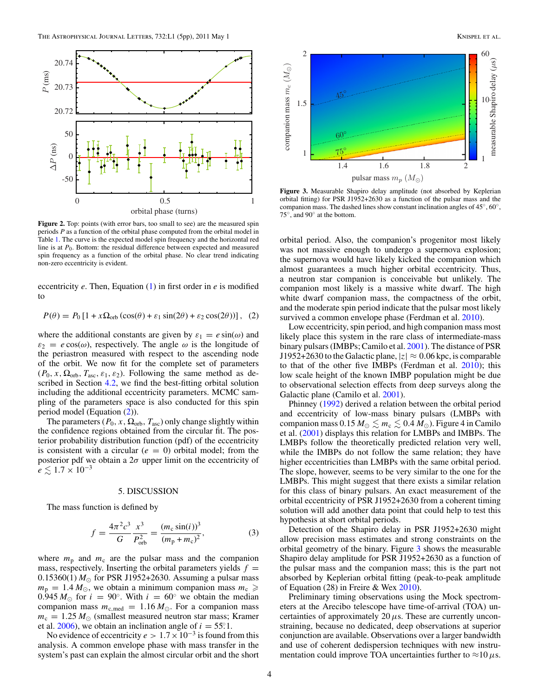<span id="page-4-0"></span>

**Figure 2.** Top: points (with error bars, too small to see) are the measured spin periods *P* as a function of the orbital phase computed from the orbital model in Table [1.](#page-3-0) The curve is the expected model spin frequency and the horizontal red line is at *P*0. Bottom: the residual difference between expected and measured spin frequency as a function of the orbital phase. No clear trend indicating non-zero eccentricity is evident.

eccentricity *e*. Then, Equation [\(1\)](#page-3-0) in first order in *e* is modified to

 $P(\theta) = P_0 [1 + x \Omega_{\text{orb}} (\cos(\theta) + \varepsilon_1 \sin(2\theta) + \varepsilon_2 \cos(2\theta))]$ , (2)

where the additional constants are given by  $\varepsilon_1 = e \sin(\omega)$  and  $\varepsilon_2 = e \cos(\omega)$ , respectively. The angle  $\omega$  is the longitude of the periastron measured with respect to the ascending node of the orbit. We now fit for the complete set of parameters  $(P_0, x, \Omega_{\text{orb}}, T_{\text{asc}}, \varepsilon_1, \varepsilon_2)$ . Following the same method as described in Section [4.2,](#page-3-0) we find the best-fitting orbital solution including the additional eccentricity parameters. MCMC sampling of the parameters space is also conducted for this spin period model (Equation (2)).

The parameters ( $P_0$ , x,  $\Omega_{\text{orb}}$ ,  $T_{\text{asc}}$ ) only change slightly within the confidence regions obtained from the circular fit. The posterior probability distribution function (pdf) of the eccentricity is consistent with a circular  $(e = 0)$  orbital model; from the posterior pdf we obtain a 2*σ* upper limit on the eccentricity of  $e \lesssim 1.7 \times 10^{-3}$ 

#### 5. DISCUSSION

The mass function is defined by

$$
f = \frac{4\pi^2 c^3}{G} \frac{x^3}{P_{\text{orb}}^2} = \frac{(m_c \sin(i))^3}{(m_p + m_c)^2},
$$
(3)

where  $m_p$  and  $m_c$  are the pulsar mass and the companion mass, respectively. Inserting the orbital parameters yields  $f =$  $0.15360(1) M_{\odot}$  for PSR J1952+2630. Assuming a pulsar mass  $m_p = 1.4 M_{\odot}$ , we obtain a minimum companion mass  $m_c \geq$ 0.945  $M_{\odot}$  for  $i = 90^{\circ}$ . With  $i = 60^{\circ}$  we obtain the median companion mass  $m_{c,med} = 1.16 M_{\odot}$ . For a companion mass  $m_c = 1.25 M_{\odot}$  (smallest measured neutron star mass; Kramer et al. [2006\)](#page-5-0), we obtain an inclination angle of  $i = 55^\circ.1$ .

No evidence of eccentricity  $e > 1.7 \times 10^{-3}$  is found from this analysis. A common envelope phase with mass transfer in the system's past can explain the almost circular orbit and the short



**Figure 3.** Measurable Shapiro delay amplitude (not absorbed by Keplerian orbital fitting) for PSR J1952+2630 as a function of the pulsar mass and the companion mass. The dashed lines show constant inclination angles of 45◦, 60◦, 75◦, and 90◦ at the bottom.

orbital period. Also, the companion's progenitor most likely was not massive enough to undergo a supernova explosion; the supernova would have likely kicked the companion which almost guarantees a much higher orbital eccentricity. Thus, a neutron star companion is conceivable but unlikely. The companion most likely is a massive white dwarf. The high white dwarf companion mass, the compactness of the orbit, and the moderate spin period indicate that the pulsar most likely survived a common envelope phase (Ferdman et al. [2010\)](#page-5-0).

Low eccentricity, spin period, and high companion mass most likely place this system in the rare class of intermediate-mass binary pulsars (IMBPs; Camilo et al. [2001\)](#page-5-0). The distance of PSR J1952+2630 to the Galactic plane,  $|z| \approx 0.06$  kpc, is comparable to that of the other five IMBPs (Ferdman et al. [2010\)](#page-5-0); this low scale height of the known IMBP population might be due to observational selection effects from deep surveys along the Galactic plane (Camilo et al. [2001\)](#page-5-0).

Phinney [\(1992\)](#page-5-0) derived a relation between the orbital period and eccentricity of low-mass binary pulsars (LMBPs with companion mass  $0.15 M_{\odot} \lesssim m_{\rm c} \lesssim 0.4 M_{\odot}$ ). Figure 4 in Camilo et al. [\(2001\)](#page-5-0) displays this relation for LMBPs and IMBPs. The LMBPs follow the theoretically predicted relation very well, while the IMBPs do not follow the same relation; they have higher eccentricities than LMBPs with the same orbital period. The slope, however, seems to be very similar to the one for the LMBPs. This might suggest that there exists a similar relation for this class of binary pulsars. An exact measurement of the orbital eccentricity of PSR J1952+2630 from a coherent timing solution will add another data point that could help to test this hypothesis at short orbital periods.

Detection of the Shapiro delay in PSR J1952+2630 might allow precision mass estimates and strong constraints on the orbital geometry of the binary. Figure 3 shows the measurable Shapiro delay amplitude for PSR J1952+2630 as a function of the pulsar mass and the companion mass; this is the part not absorbed by Keplerian orbital fitting (peak-to-peak amplitude of Equation (28) in Freire & Wex [2010\)](#page-5-0).

Preliminary timing observations using the Mock spectrometers at the Arecibo telescope have time-of-arrival (TOA) uncertainties of approximately  $20 \mu s$ . These are currently unconstraining, because no dedicated, deep observations at superior conjunction are available. Observations over a larger bandwidth and use of coherent dedispersion techniques with new instrumentation could improve TOA uncertainties further to  $\approx$ 10  $\mu$ s.